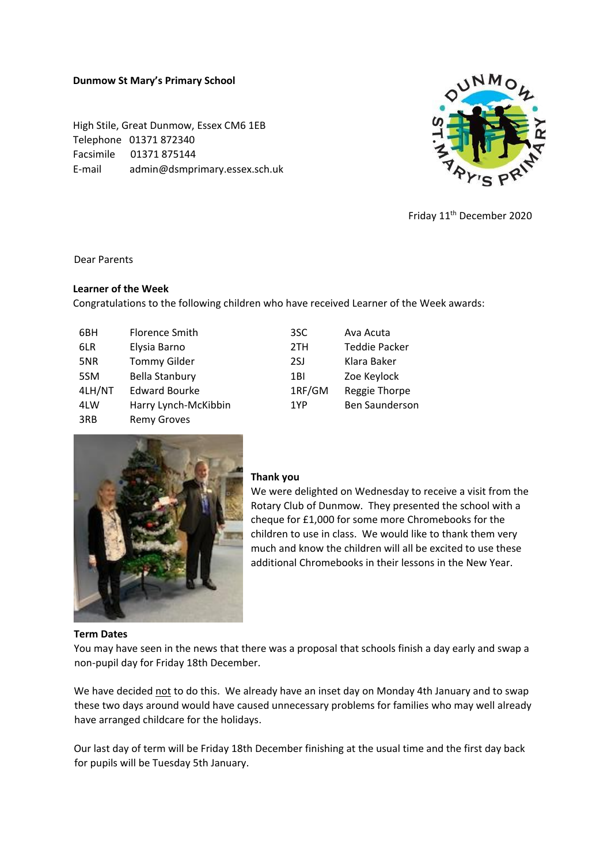#### **Dunmow St Mary's Primary School**

High Stile, Great Dunmow, Essex CM6 1EB Telephone 01371 872340 Facsimile 01371 875144 E-mail admin@dsmprimary.essex.sch.uk



Friday 11th December 2020

#### Dear Parents

# **Learner of the Week**

Congratulations to the following children who have received Learner of the Week awards:

| 6BH    | Florence Smith        | 3SC    | Ava Acuta             |
|--------|-----------------------|--------|-----------------------|
| 6LR    | Elysia Barno          | 2TH    | <b>Teddie Packer</b>  |
| 5NR    | <b>Tommy Gilder</b>   | 2SJ    | Klara Baker           |
| 5SM    | <b>Bella Stanbury</b> | 1BI    | Zoe Keylock           |
| 4LH/NT | <b>Edward Bourke</b>  | 1RF/GM | Reggie Thorpe         |
| 4LW    | Harry Lynch-McKibbin  | 1YP    | <b>Ben Saunderson</b> |
| 3RB    | <b>Remy Groves</b>    |        |                       |



#### **Thank you**

We were delighted on Wednesday to receive a visit from the Rotary Club of Dunmow. They presented the school with a cheque for £1,000 for some more Chromebooks for the children to use in class. We would like to thank them very much and know the children will all be excited to use these additional Chromebooks in their lessons in the New Year.

#### **Term Dates**

You may have seen in the news that there was a proposal that schools finish a day early and swap a non-pupil day for Friday 18th December.

We have decided not to do this. We already have an inset day on Monday 4th January and to swap these two days around would have caused unnecessary problems for families who may well already have arranged childcare for the holidays.

Our last day of term will be Friday 18th December finishing at the usual time and the first day back for pupils will be Tuesday 5th January.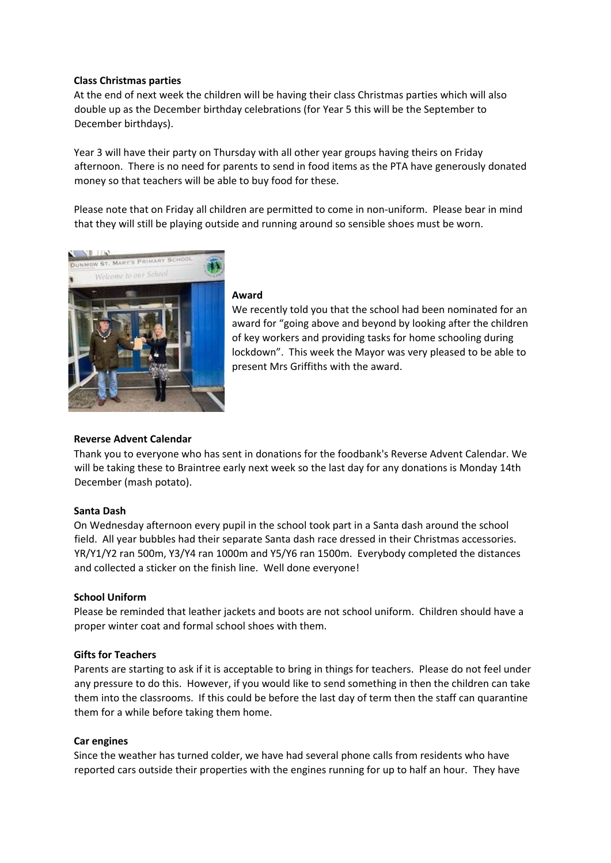# **Class Christmas parties**

At the end of next week the children will be having their class Christmas parties which will also double up as the December birthday celebrations (for Year 5 this will be the September to December birthdays).

Year 3 will have their party on Thursday with all other year groups having theirs on Friday afternoon. There is no need for parents to send in food items as the PTA have generously donated money so that teachers will be able to buy food for these.

Please note that on Friday all children are permitted to come in non-uniform. Please bear in mind that they will still be playing outside and running around so sensible shoes must be worn.



#### **Award**

We recently told you that the school had been nominated for an award for "going above and beyond by looking after the children of key workers and providing tasks for home schooling during lockdown". This week the Mayor was very pleased to be able to present Mrs Griffiths with the award.

# **Reverse Advent Calendar**

Thank you to everyone who has sent in donations for the foodbank's Reverse Advent Calendar. We will be taking these to Braintree early next week so the last day for any donations is Monday 14th December (mash potato).

# **Santa Dash**

On Wednesday afternoon every pupil in the school took part in a Santa dash around the school field. All year bubbles had their separate Santa dash race dressed in their Christmas accessories. YR/Y1/Y2 ran 500m, Y3/Y4 ran 1000m and Y5/Y6 ran 1500m. Everybody completed the distances and collected a sticker on the finish line. Well done everyone!

# **School Uniform**

Please be reminded that leather jackets and boots are not school uniform. Children should have a proper winter coat and formal school shoes with them.

# **Gifts for Teachers**

Parents are starting to ask if it is acceptable to bring in things for teachers. Please do not feel under any pressure to do this. However, if you would like to send something in then the children can take them into the classrooms. If this could be before the last day of term then the staff can quarantine them for a while before taking them home.

# **Car engines**

Since the weather has turned colder, we have had several phone calls from residents who have reported cars outside their properties with the engines running for up to half an hour. They have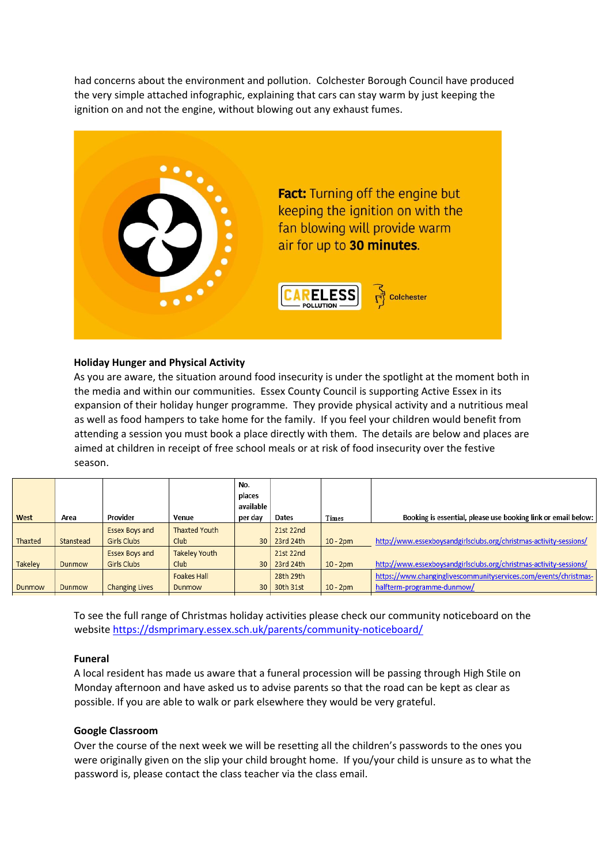had concerns about the environment and pollution. Colchester Borough Council have produced the very simple attached infographic, explaining that cars can stay warm by just keeping the ignition on and not the engine, without blowing out any exhaust fumes.



# **Holiday Hunger and Physical Activity**

As you are aware, the situation around food insecurity is under the spotlight at the moment both in the media and within our communities. Essex County Council is supporting Active Essex in its expansion of their holiday hunger programme. They provide physical activity and a nutritious meal as well as food hampers to take home for the family. If you feel your children would benefit from attending a session you must book a place directly with them. The details are below and places are aimed at children in receipt of free school meals or at risk of food insecurity over the festive season.

| Booking is essential, please use booking link or email below:      |
|--------------------------------------------------------------------|
|                                                                    |
| http://www.essexboysandgirlsclubs.org/christmas-activity-sessions/ |
|                                                                    |
| http://www.essexboysandgirlsclubs.org/christmas-activity-sessions/ |
| https://www.changinglivescommunityservices.com/events/christmas-   |
|                                                                    |
|                                                                    |

To see the full range of Christmas holiday activities please check our community noticeboard on the website<https://dsmprimary.essex.sch.uk/parents/community-noticeboard/>

#### **Funeral**

A local resident has made us aware that a funeral procession will be passing through High Stile on Monday afternoon and have asked us to advise parents so that the road can be kept as clear as possible. If you are able to walk or park elsewhere they would be very grateful.

#### **Google Classroom**

Over the course of the next week we will be resetting all the children's passwords to the ones you were originally given on the slip your child brought home. If you/your child is unsure as to what the password is, please contact the class teacher via the class email.